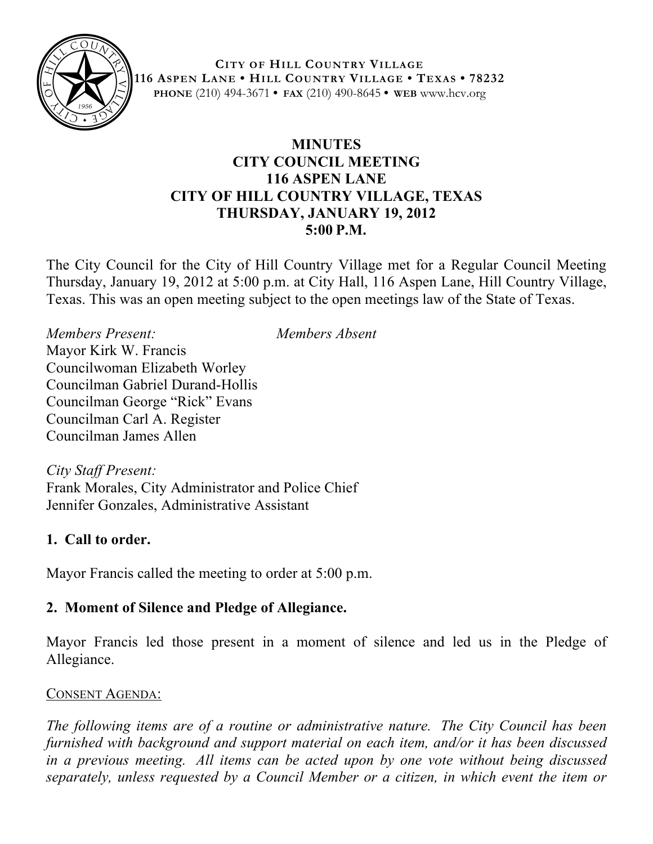

**CITY OF HILL COUNTRY VILLAGE 116 ASPEN LANE • HILL COUNTRY VILLAGE • TEXAS • 78232 PHONE** (210) 494-3671 **• FAX** (210) 490-8645 **• WEB** www.hcv.org

### **MINUTES CITY COUNCIL MEETING 116 ASPEN LANE CITY OF HILL COUNTRY VILLAGE, TEXAS THURSDAY, JANUARY 19, 2012 5:00 P.M.**

The City Council for the City of Hill Country Village met for a Regular Council Meeting Thursday, January 19, 2012 at 5:00 p.m. at City Hall, 116 Aspen Lane, Hill Country Village, Texas. This was an open meeting subject to the open meetings law of the State of Texas.

*Members Present: Members Absent* Mayor Kirk W. Francis Councilwoman Elizabeth Worley Councilman Gabriel Durand-Hollis Councilman George "Rick" Evans Councilman Carl A. Register Councilman James Allen

*City Staff Present:* Frank Morales, City Administrator and Police Chief Jennifer Gonzales, Administrative Assistant

### **1. Call to order.**

Mayor Francis called the meeting to order at 5:00 p.m.

### **2. Moment of Silence and Pledge of Allegiance.**

Mayor Francis led those present in a moment of silence and led us in the Pledge of Allegiance.

### CONSENT AGENDA:

*The following items are of a routine or administrative nature. The City Council has been furnished with background and support material on each item, and/or it has been discussed in a previous meeting. All items can be acted upon by one vote without being discussed separately, unless requested by a Council Member or a citizen, in which event the item or*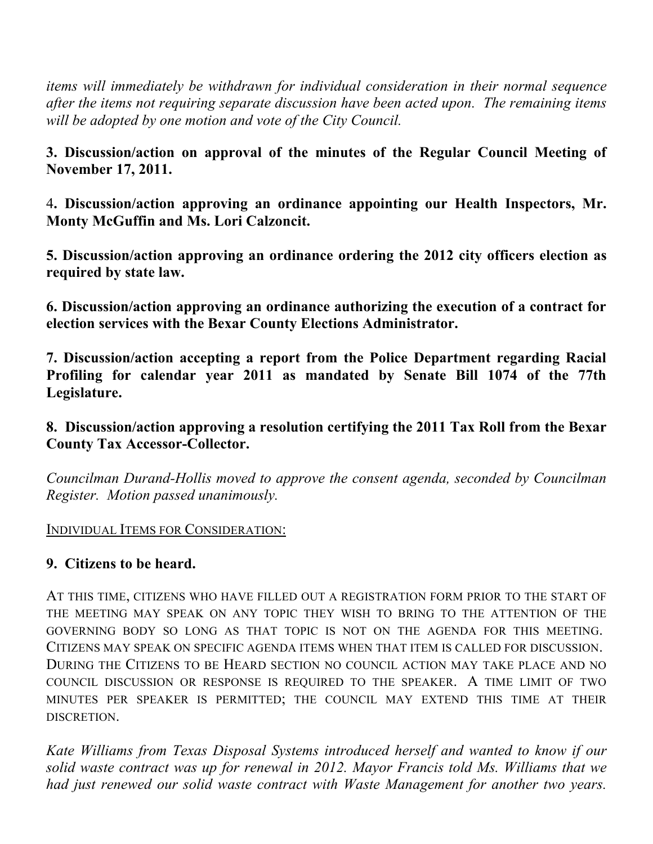*items will immediately be withdrawn for individual consideration in their normal sequence after the items not requiring separate discussion have been acted upon. The remaining items will be adopted by one motion and vote of the City Council.*

**3. Discussion/action on approval of the minutes of the Regular Council Meeting of November 17, 2011.**

4**. Discussion/action approving an ordinance appointing our Health Inspectors, Mr. Monty McGuffin and Ms. Lori Calzoncit.**

**5. Discussion/action approving an ordinance ordering the 2012 city officers election as required by state law.**

**6. Discussion/action approving an ordinance authorizing the execution of a contract for election services with the Bexar County Elections Administrator.** 

**7. Discussion/action accepting a report from the Police Department regarding Racial Profiling for calendar year 2011 as mandated by Senate Bill 1074 of the 77th Legislature.**

**8. Discussion/action approving a resolution certifying the 2011 Tax Roll from the Bexar County Tax Accessor-Collector.**

*Councilman Durand-Hollis moved to approve the consent agenda, seconded by Councilman Register. Motion passed unanimously.*

#### INDIVIDUAL ITEMS FOR CONSIDERATION:

### **9. Citizens to be heard.**

AT THIS TIME, CITIZENS WHO HAVE FILLED OUT A REGISTRATION FORM PRIOR TO THE START OF THE MEETING MAY SPEAK ON ANY TOPIC THEY WISH TO BRING TO THE ATTENTION OF THE GOVERNING BODY SO LONG AS THAT TOPIC IS NOT ON THE AGENDA FOR THIS MEETING. CITIZENS MAY SPEAK ON SPECIFIC AGENDA ITEMS WHEN THAT ITEM IS CALLED FOR DISCUSSION. DURING THE CITIZENS TO BE HEARD SECTION NO COUNCIL ACTION MAY TAKE PLACE AND NO COUNCIL DISCUSSION OR RESPONSE IS REQUIRED TO THE SPEAKER. A TIME LIMIT OF TWO MINUTES PER SPEAKER IS PERMITTED; THE COUNCIL MAY EXTEND THIS TIME AT THEIR DISCRETION.

*Kate Williams from Texas Disposal Systems introduced herself and wanted to know if our solid waste contract was up for renewal in 2012. Mayor Francis told Ms. Williams that we had just renewed our solid waste contract with Waste Management for another two years.*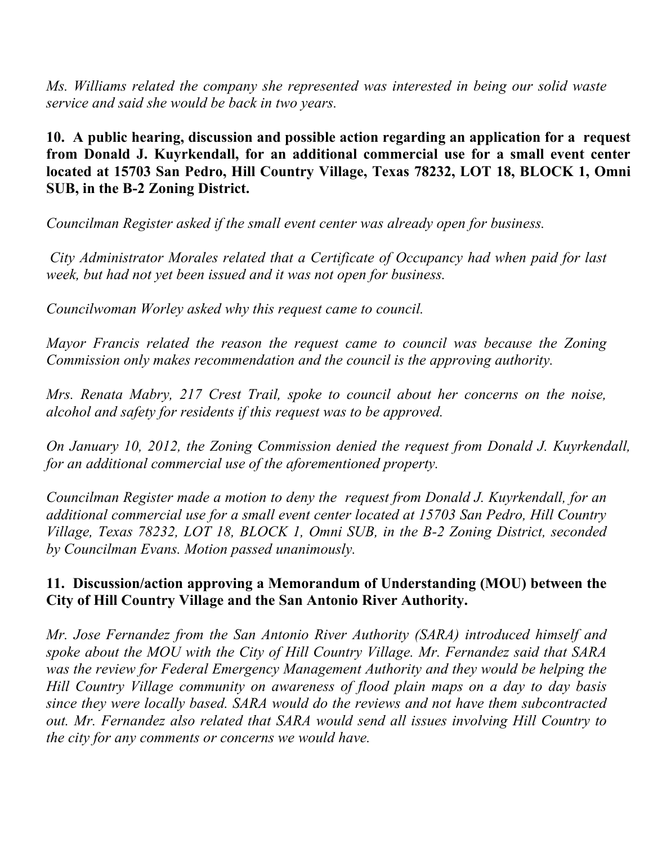*Ms. Williams related the company she represented was interested in being our solid waste service and said she would be back in two years.* 

**10. A public hearing, discussion and possible action regarding an application for a request from Donald J. Kuyrkendall, for an additional commercial use for a small event center located at 15703 San Pedro, Hill Country Village, Texas 78232, LOT 18, BLOCK 1, Omni SUB, in the B-2 Zoning District.** 

*Councilman Register asked if the small event center was already open for business.*

 *City Administrator Morales related that a Certificate of Occupancy had when paid for last week, but had not yet been issued and it was not open for business.*

*Councilwoman Worley asked why this request came to council.*

*Mayor Francis related the reason the request came to council was because the Zoning Commission only makes recommendation and the council is the approving authority.*

*Mrs. Renata Mabry, 217 Crest Trail, spoke to council about her concerns on the noise, alcohol and safety for residents if this request was to be approved.*

*On January 10, 2012, the Zoning Commission denied the request from Donald J. Kuyrkendall, for an additional commercial use of the aforementioned property.*

*Councilman Register made a motion to deny the request from Donald J. Kuyrkendall, for an additional commercial use for a small event center located at 15703 San Pedro, Hill Country Village, Texas 78232, LOT 18, BLOCK 1, Omni SUB, in the B-2 Zoning District, seconded by Councilman Evans. Motion passed unanimously.*

#### **11. Discussion/action approving a Memorandum of Understanding (MOU) between the City of Hill Country Village and the San Antonio River Authority.**

*Mr. Jose Fernandez from the San Antonio River Authority (SARA) introduced himself and spoke about the MOU with the City of Hill Country Village. Mr. Fernandez said that SARA was the review for Federal Emergency Management Authority and they would be helping the Hill Country Village community on awareness of flood plain maps on a day to day basis since they were locally based. SARA would do the reviews and not have them subcontracted out. Mr. Fernandez also related that SARA would send all issues involving Hill Country to the city for any comments or concerns we would have.*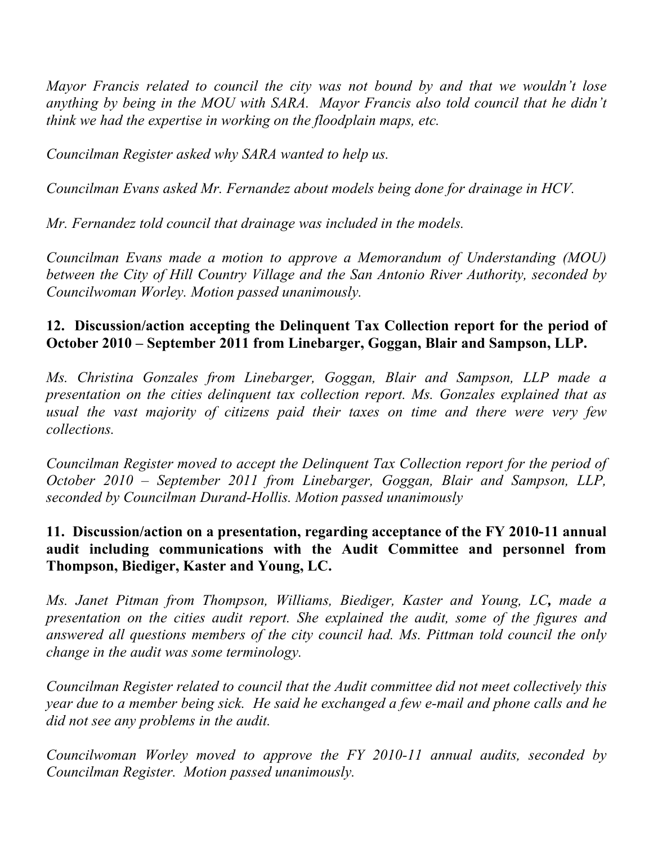*Mayor Francis related to council the city was not bound by and that we wouldn't lose anything by being in the MOU with SARA. Mayor Francis also told council that he didn't think we had the expertise in working on the floodplain maps, etc.*

*Councilman Register asked why SARA wanted to help us.*

*Councilman Evans asked Mr. Fernandez about models being done for drainage in HCV.*

*Mr. Fernandez told council that drainage was included in the models.*

*Councilman Evans made a motion to approve a Memorandum of Understanding (MOU) between the City of Hill Country Village and the San Antonio River Authority, seconded by Councilwoman Worley. Motion passed unanimously.*

## **12. Discussion/action accepting the Delinquent Tax Collection report for the period of October 2010 – September 2011 from Linebarger, Goggan, Blair and Sampson, LLP.**

*Ms. Christina Gonzales from Linebarger, Goggan, Blair and Sampson, LLP made a presentation on the cities delinquent tax collection report. Ms. Gonzales explained that as usual the vast majority of citizens paid their taxes on time and there were very few collections.*

*Councilman Register moved to accept the Delinquent Tax Collection report for the period of October 2010 – September 2011 from Linebarger, Goggan, Blair and Sampson, LLP, seconded by Councilman Durand-Hollis. Motion passed unanimously*

### **11. Discussion/action on a presentation, regarding acceptance of the FY 2010-11 annual audit including communications with the Audit Committee and personnel from Thompson, Biediger, Kaster and Young, LC.**

*Ms. Janet Pitman from Thompson, Williams, Biediger, Kaster and Young, LC, made a presentation on the cities audit report. She explained the audit, some of the figures and answered all questions members of the city council had. Ms. Pittman told council the only change in the audit was some terminology.* 

*Councilman Register related to council that the Audit committee did not meet collectively this year due to a member being sick. He said he exchanged a few e-mail and phone calls and he did not see any problems in the audit.*

*Councilwoman Worley moved to approve the FY 2010-11 annual audits, seconded by Councilman Register. Motion passed unanimously.*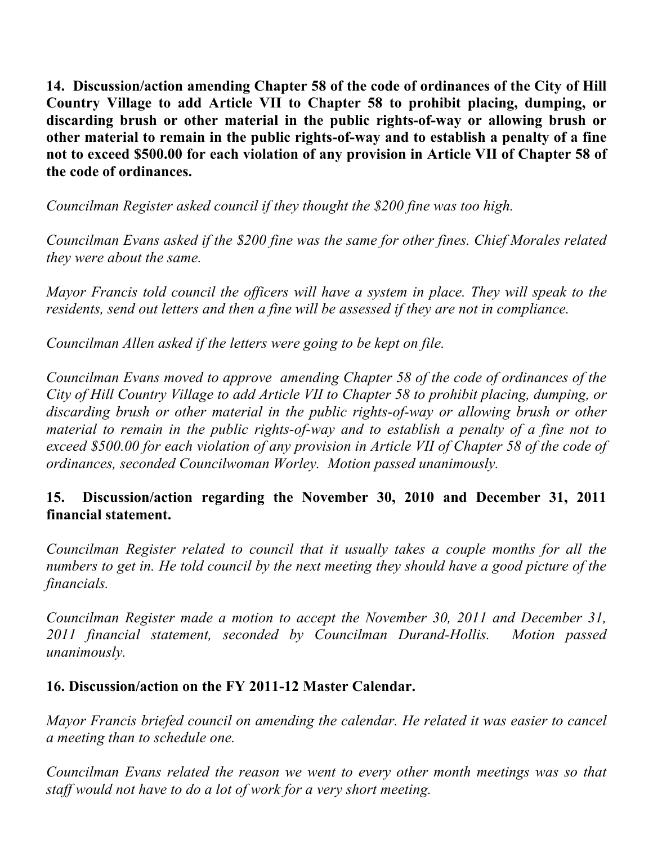**14. Discussion/action amending Chapter 58 of the code of ordinances of the City of Hill Country Village to add Article VII to Chapter 58 to prohibit placing, dumping, or discarding brush or other material in the public rights-of-way or allowing brush or other material to remain in the public rights-of-way and to establish a penalty of a fine not to exceed \$500.00 for each violation of any provision in Article VII of Chapter 58 of the code of ordinances.**

*Councilman Register asked council if they thought the \$200 fine was too high.*

*Councilman Evans asked if the \$200 fine was the same for other fines. Chief Morales related they were about the same.*

*Mayor Francis told council the officers will have a system in place. They will speak to the residents, send out letters and then a fine will be assessed if they are not in compliance.*

*Councilman Allen asked if the letters were going to be kept on file.* 

*Councilman Evans moved to approve amending Chapter 58 of the code of ordinances of the City of Hill Country Village to add Article VII to Chapter 58 to prohibit placing, dumping, or discarding brush or other material in the public rights-of-way or allowing brush or other material to remain in the public rights-of-way and to establish a penalty of a fine not to exceed \$500.00 for each violation of any provision in Article VII of Chapter 58 of the code of ordinances, seconded Councilwoman Worley. Motion passed unanimously.*

### **15. Discussion/action regarding the November 30, 2010 and December 31, 2011 financial statement.**

*Councilman Register related to council that it usually takes a couple months for all the numbers to get in. He told council by the next meeting they should have a good picture of the financials.*

*Councilman Register made a motion to accept the November 30, 2011 and December 31, 2011 financial statement, seconded by Councilman Durand-Hollis. Motion passed unanimously.*

### **16. Discussion/action on the FY 2011-12 Master Calendar.**

*Mayor Francis briefed council on amending the calendar. He related it was easier to cancel a meeting than to schedule one.* 

*Councilman Evans related the reason we went to every other month meetings was so that staff would not have to do a lot of work for a very short meeting.*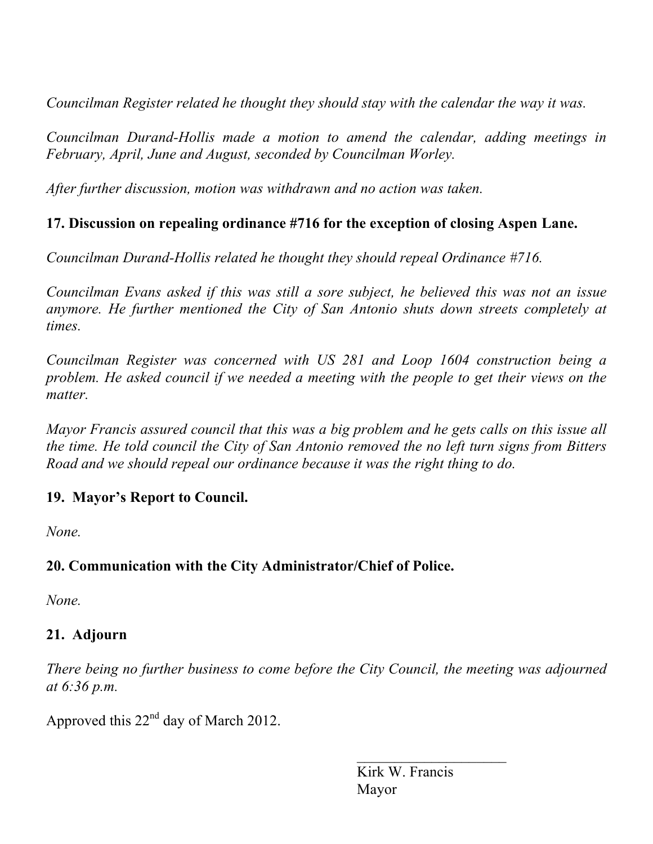*Councilman Register related he thought they should stay with the calendar the way it was.*

*Councilman Durand-Hollis made a motion to amend the calendar, adding meetings in February, April, June and August, seconded by Councilman Worley.*

*After further discussion, motion was withdrawn and no action was taken.*

# **17. Discussion on repealing ordinance #716 for the exception of closing Aspen Lane.**

*Councilman Durand-Hollis related he thought they should repeal Ordinance #716.*

*Councilman Evans asked if this was still a sore subject, he believed this was not an issue anymore. He further mentioned the City of San Antonio shuts down streets completely at times.*

*Councilman Register was concerned with US 281 and Loop 1604 construction being a problem. He asked council if we needed a meeting with the people to get their views on the matter.*

*Mayor Francis assured council that this was a big problem and he gets calls on this issue all the time. He told council the City of San Antonio removed the no left turn signs from Bitters Road and we should repeal our ordinance because it was the right thing to do.*

# **19. Mayor's Report to Council.**

*None.*

# **20. Communication with the City Administrator/Chief of Police.**

*None.*

# **21. Adjourn**

*There being no further business to come before the City Council, the meeting was adjourned at 6:36 p.m.*

Approved this  $22<sup>nd</sup>$  day of March 2012.

 Kirk W. Francis Mayor